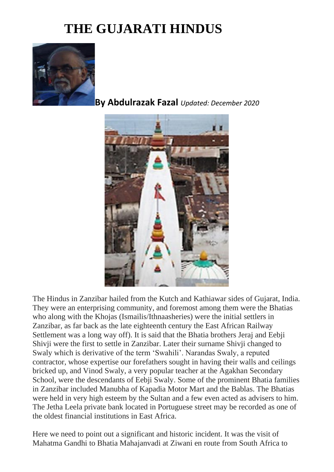## **THE GUJARATI HINDUS**



**By Abdulrazak Fazal** *Updated: December 2020*



The Hindus in Zanzibar hailed from the Kutch and Kathiawar sides of Gujarat, India. They were an enterprising community, and foremost among them were the Bhatias who along with the Khojas (Ismailis/Ithnaasheries) were the initial settlers in Zanzibar, as far back as the late eighteenth century the East African Railway Settlement was a long way off). It is said that the Bhatia brothers Jeraj and Eebji Shivji were the first to settle in Zanzibar. Later their surname Shivji changed to Swaly which is derivative of the term 'Swahili'. Narandas Swaly, a reputed contractor, whose expertise our forefathers sought in having their walls and ceilings bricked up, and Vinod Swaly, a very popular teacher at the Agakhan Secondary School, were the descendants of Eebji Swaly. Some of the prominent Bhatia families in Zanzibar included Manubha of Kapadia Motor Mart and the Bablas. The Bhatias were held in very high esteem by the Sultan and a few even acted as advisers to him. The Jetha Leela private bank located in Portuguese street may be recorded as one of the oldest financial institutions in East Africa.

Here we need to point out a significant and historic incident. It was the visit of Mahatma Gandhi to Bhatia Mahajanvadi at Ziwani en route from South Africa to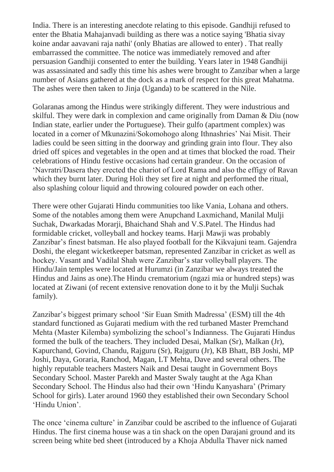India. There is an interesting anecdote relating to this episode. Gandhiji refused to enter the Bhatia Mahajanvadi building as there was a notice saying 'Bhatia sivay koine andar aavavani raja nathi' (only Bhatias are allowed to enter) . That really embarrassed the committee. The notice was immediately removed and after persuasion Gandhiji consented to enter the building. Years later in 1948 Gandhiji was assassinated and sadly this time his ashes were brought to Zanzibar when a large number of Asians gathered at the dock as a mark of respect for this great Mahatma. The ashes were then taken to Jinja (Uganda) to be scattered in the Nile.

Golaranas among the Hindus were strikingly different. They were industrious and skilful. They were dark in complexion and came originally from Daman & Diu (now Indian state, earlier under the Portuguese). Their gulfo (apartment complex) was located in a corner of Mkunazini/Sokomohogo along Ithnashries' Nai Misit. Their ladies could be seen sitting in the doorway and grinding grain into flour. They also dried off spices and vegetables in the open and at times that blocked the road. Their celebrations of Hindu festive occasions had certain grandeur. On the occasion of 'Navratri/Dasera they erected the chariot of Lord Rama and also the effigy of Ravan which they burnt later. During Holi they set fire at night and performed the ritual, also splashing colour liquid and throwing coloured powder on each other.

There were other Gujarati Hindu communities too like Vania, Lohana and others. Some of the notables among them were Anupchand Laxmichand, Manilal Mulji Suchak, Dwarkadas Morarji, Bhaichand Shah and V.S.Patel. The Hindus had formidable cricket, volleyball and hockey teams. Harji Mawji was probably Zanzibar's finest batsman. He also played football for the Kikvajuni team. Gajendra Doshi, the elegant wicketkeeper batsman, represented Zanzibar in cricket as well as hockey. Vasant and Vadilal Shah were Zanzibar's star volleyball players. The Hindu/Jain temples were located at Hurumzi (in Zanzibar we always treated the Hindus and Jains as one).The Hindu crematorium (ngazi mia or hundred steps) was located at Ziwani (of recent extensive renovation done to it by the Mulji Suchak family).

Zanzibar's biggest primary school 'Sir Euan Smith Madressa' (ESM) till the 4th standard functioned as Gujarati medium with the red turbaned Master Premchand Mehta (Master Kilemba) symbolizing the school's Indianness. The Gujarati Hindus formed the bulk of the teachers. They included Desai, Malkan (Sr), Malkan (Jr), Kapurchand, Govind, Chandu, Rajguru (Sr), Rajguru (Jr), KB Bhatt, BB Joshi, MP Joshi, Daya, Goraria, Ranchod, Magan, LT Mehta, Dave and several others. The highly reputable teachers Masters Naik and Desai taught in Government Boys Secondary School. Master Parekh and Master Swaly taught at the Aga Khan Secondary School. The Hindus also had their own 'Hindu Kanyashara' (Primary School for girls). Later around 1960 they established their own Secondary School 'Hindu Union'.

The once 'cinema culture' in Zanzibar could be ascribed to the influence of Gujarati Hindus. The first cinema house was a tin shack on the open Darajani ground and its screen being white bed sheet (introduced by a Khoja Abdulla Thaver nick named